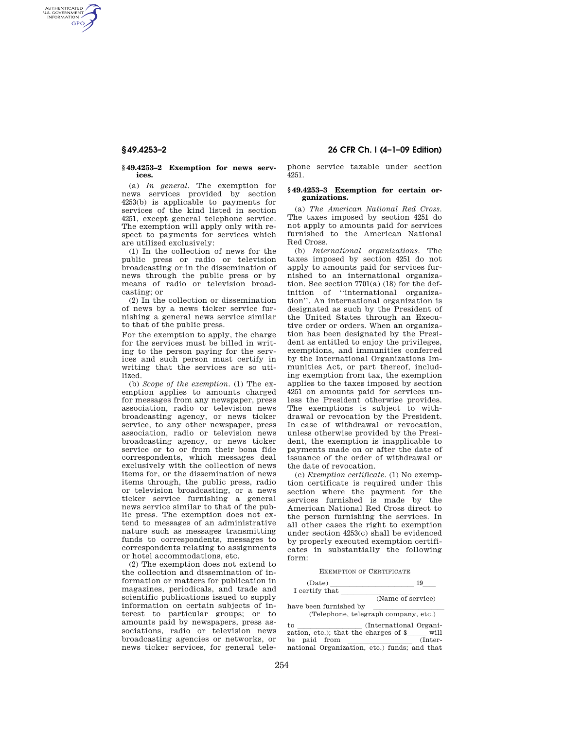AUTHENTICATED<br>U.S. GOVERNMENT<br>INFORMATION **GPO** 

#### **§ 49.4253–2 Exemption for news services.**

(a) *In general.* The exemption for news services provided by section 4253(b) is applicable to payments for services of the kind listed in section 4251, except general telephone service. The exemption will apply only with respect to payments for services which are utilized exclusively:

(1) In the collection of news for the public press or radio or television broadcasting or in the dissemination of news through the public press or by means of radio or television broadcasting; or

(2) In the collection or dissemination of news by a news ticker service furnishing a general news service similar to that of the public press.

For the exemption to apply, the charge for the services must be billed in writing to the person paying for the services and such person must certify in writing that the services are so utilized.

(b) *Scope of the exemption.* (1) The exemption applies to amounts charged for messages from any newspaper, press association, radio or television news broadcasting agency, or news ticker service, to any other newspaper, press association, radio or television news broadcasting agency, or news ticker service or to or from their bona fide correspondents, which messages deal exclusively with the collection of news items for, or the dissemination of news items through, the public press, radio or television broadcasting, or a news ticker service furnishing a general news service similar to that of the public press. The exemption does not extend to messages of an administrative nature such as messages transmitting funds to correspondents, messages to correspondents relating to assignments or hotel accommodations, etc.

(2) The exemption does not extend to the collection and dissemination of information or matters for publication in magazines, periodicals, and trade and scientific publications issued to supply information on certain subjects of interest to particular groups; or to amounts paid by newspapers, press associations, radio or television news broadcasting agencies or networks, or news ticker services, for general tele-

# **§ 49.4253–2 26 CFR Ch. I (4–1–09 Edition)**

phone service taxable under section 4251.

# **§ 49.4253–3 Exemption for certain organizations.**

(a) *The American National Red Cross.*  The taxes imposed by section 4251 do not apply to amounts paid for services furnished to the American National Red Cross.

(b) *International organizations.* The taxes imposed by section 4251 do not apply to amounts paid for services furnished to an international organization. See section 7701(a) (18) for the definition of ''international organization''. An international organization is designated as such by the President of the United States through an Executive order or orders. When an organization has been designated by the President as entitled to enjoy the privileges, exemptions, and immunities conferred by the International Organizations Immunities Act, or part thereof, including exemption from tax, the exemption applies to the taxes imposed by section 4251 on amounts paid for services unless the President otherwise provides. The exemptions is subject to withdrawal or revocation by the President. In case of withdrawal or revocation, unless otherwise provided by the President, the exemption is inapplicable to payments made on or after the date of issuance of the order of withdrawal or the date of revocation.

(c) *Exemption certificate.* (1) No exemption certificate is required under this section where the payment for the services furnished is made by the American National Red Cross direct to the person furnishing the services. In all other cases the right to exemption under section 4253(c) shall be evidenced by properly executed exemption certificates in substantially the following form:

EXEMPTION OF CERTIFICATE

| (Date)         |                                |
|----------------|--------------------------------|
| I certify that |                                |
|                | $(Nom \circ \text{of curvio})$ |

|  |  | (Name of service) |
|--|--|-------------------|
|  |  |                   |

have been furnished by<br>(Telephone, telegraph company, etc.)

to  $\frac{1}{\text{total}}$  (International Organization, etc.); that the charges of  $\frac{\text{will}}{\text{[Inter-}}$ be paid from llllllllll (Inter-national Organization, etc.) funds; and that